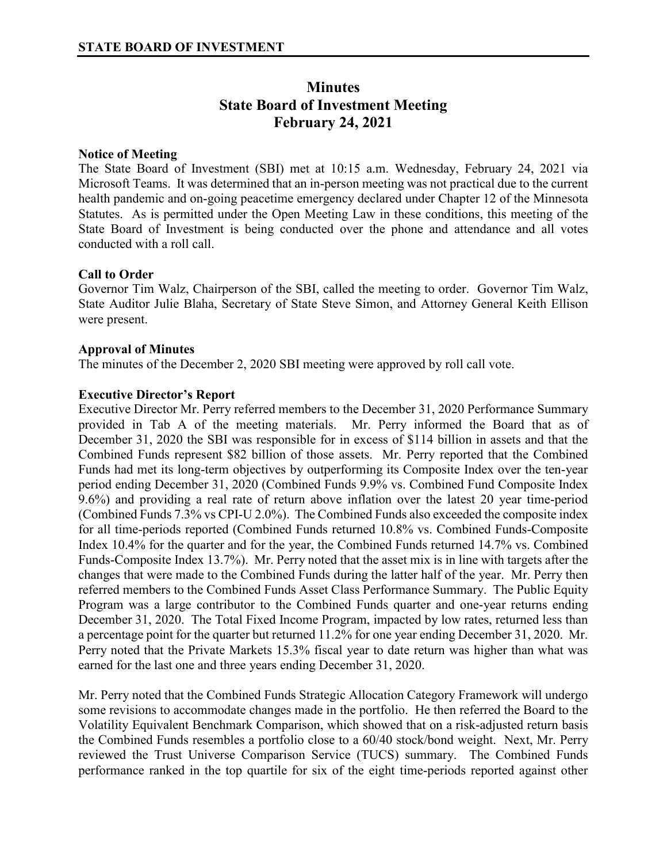# **Minutes State Board of Investment Meeting February 24, 2021**

## **Notice of Meeting**

The State Board of Investment (SBI) met at 10:15 a.m. Wednesday, February 24, 2021 via Microsoft Teams. It was determined that an in-person meeting was not practical due to the current health pandemic and on-going peacetime emergency declared under Chapter 12 of the Minnesota Statutes. As is permitted under the Open Meeting Law in these conditions, this meeting of the State Board of Investment is being conducted over the phone and attendance and all votes conducted with a roll call.

#### **Call to Order**

Governor Tim Walz, Chairperson of the SBI, called the meeting to order. Governor Tim Walz, State Auditor Julie Blaha, Secretary of State Steve Simon, and Attorney General Keith Ellison were present.

#### **Approval of Minutes**

The minutes of the December 2, 2020 SBI meeting were approved by roll call vote.

#### **Executive Director's Report**

Executive Director Mr. Perry referred members to the December 31, 2020 Performance Summary provided in Tab A of the meeting materials. Mr. Perry informed the Board that as of December 31, 2020 the SBI was responsible for in excess of \$114 billion in assets and that the Combined Funds represent \$82 billion of those assets. Mr. Perry reported that the Combined Funds had met its long-term objectives by outperforming its Composite Index over the ten-year period ending December 31, 2020 (Combined Funds 9.9% vs. Combined Fund Composite Index 9.6%) and providing a real rate of return above inflation over the latest 20 year time-period (Combined Funds 7.3% vs CPI-U 2.0%). The Combined Funds also exceeded the composite index for all time-periods reported (Combined Funds returned 10.8% vs. Combined Funds-Composite Index 10.4% for the quarter and for the year, the Combined Funds returned 14.7% vs. Combined Funds-Composite Index 13.7%). Mr. Perry noted that the asset mix is in line with targets after the changes that were made to the Combined Funds during the latter half of the year. Mr. Perry then referred members to the Combined Funds Asset Class Performance Summary. The Public Equity Program was a large contributor to the Combined Funds quarter and one-year returns ending December 31, 2020. The Total Fixed Income Program, impacted by low rates, returned less than a percentage point for the quarter but returned 11.2% for one year ending December 31, 2020. Mr. Perry noted that the Private Markets 15.3% fiscal year to date return was higher than what was earned for the last one and three years ending December 31, 2020.

Mr. Perry noted that the Combined Funds Strategic Allocation Category Framework will undergo some revisions to accommodate changes made in the portfolio. He then referred the Board to the Volatility Equivalent Benchmark Comparison, which showed that on a risk-adjusted return basis the Combined Funds resembles a portfolio close to a 60/40 stock/bond weight. Next, Mr. Perry reviewed the Trust Universe Comparison Service (TUCS) summary. The Combined Funds performance ranked in the top quartile for six of the eight time-periods reported against other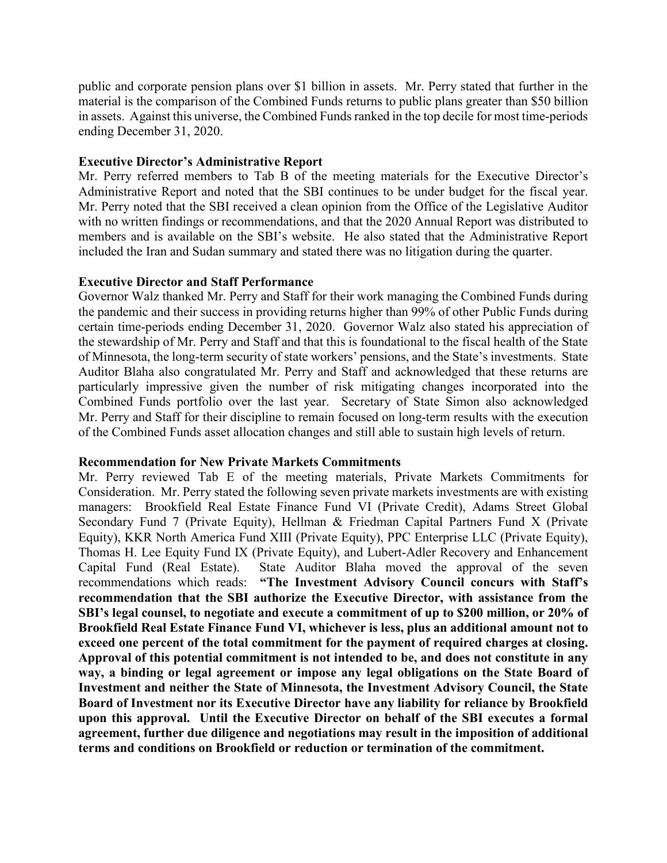public and corporate pension plans over \$1 billion in assets. Mr. Perry stated that further in the material is the comparison of the Combined Funds returns to public plans greater than \$50 billion in assets. Against this universe, the Combined Funds ranked in the top decile for most time-periods ending December 31, 2020.

## **Executive Director's Administrative Report**

Mr. Perry referred members to Tab B of the meeting materials for the Executive Director's Administrative Report and noted that the SBI continues to be under budget for the fiscal year. Mr. Perry noted that the SBI received a clean opinion from the Office of the Legislative Auditor with no written findings or recommendations, and that the 2020 Annual Report was distributed to members and is available on the SBI's website. He also stated that the Administrative Report included the Iran and Sudan summary and stated there was no litigation during the quarter.

#### **Executive Director and Staff Performance**

Governor Walz thanked Mr. Perry and Staff for their work managing the Combined Funds during the pandemic and their success in providing returns higher than 99% of other Public Funds during certain time-periods ending December 31, 2020. Governor Walz also stated his appreciation of the stewardship of Mr. Perry and Staff and that this is foundational to the fiscal health of the State of Minnesota, the long-term security of state workers' pensions, and the State's investments. State Auditor Blaha also congratulated Mr. Perry and Staff and acknowledged that these returns are particularly impressive given the number of risk mitigating changes incorporated into the Combined Funds portfolio over the last year. Secretary of State Simon also acknowledged Mr. Perry and Staff for their discipline to remain focused on long-term results with the execution of the Combined Funds asset allocation changes and still able to sustain high levels of return.

#### **Recommendation for New Private Markets Commitments**

Mr. Perry reviewed Tab E of the meeting materials, Private Markets Commitments for Consideration. Mr. Perry stated the following seven private markets investments are with existing managers: Brookfield Real Estate Finance Fund VI (Private Credit), Adams Street Global Secondary Fund 7 (Private Equity), Hellman & Friedman Capital Partners Fund X (Private Equity), KKR North America Fund XIII (Private Equity), PPC Enterprise LLC (Private Equity), Thomas H. Lee Equity Fund IX (Private Equity), and Lubert-Adler Recovery and Enhancement Capital Fund (Real Estate). State Auditor Blaha moved the approval of the seven recommendations which reads: **"The Investment Advisory Council concurs with Staff's recommendation that the SBI authorize the Executive Director, with assistance from the SBI's legal counsel, to negotiate and execute a commitment of up to \$200 million, or 20% of Brookfield Real Estate Finance Fund VI, whichever is less, plus an additional amount not to exceed one percent of the total commitment for the payment of required charges at closing. Approval of this potential commitment is not intended to be, and does not constitute in any way, a binding or legal agreement or impose any legal obligations on the State Board of Investment and neither the State of Minnesota, the Investment Advisory Council, the State Board of Investment nor its Executive Director have any liability for reliance by Brookfield upon this approval. Until the Executive Director on behalf of the SBI executes a formal agreement, further due diligence and negotiations may result in the imposition of additional terms and conditions on Brookfield or reduction or termination of the commitment.**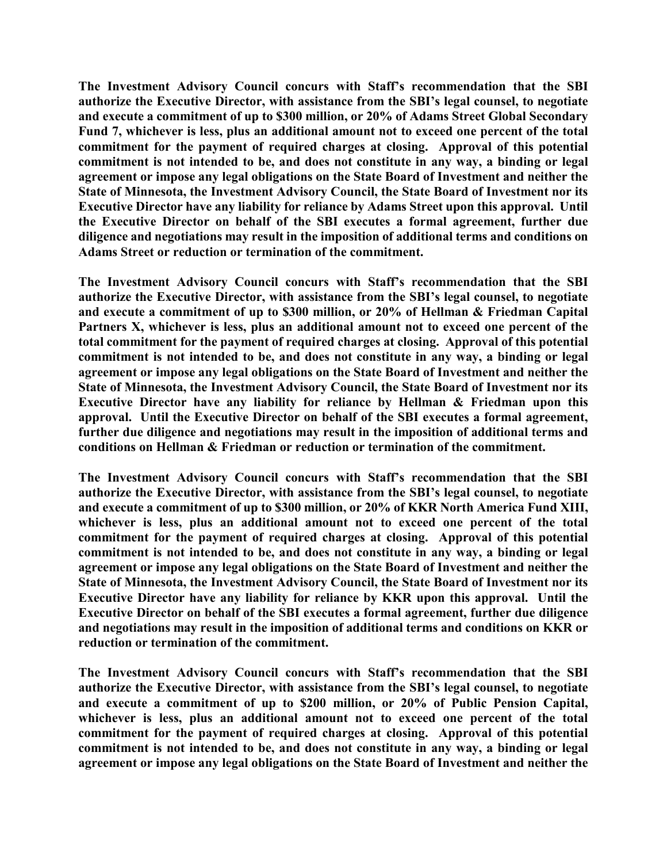**The Investment Advisory Council concurs with Staff's recommendation that the SBI authorize the Executive Director, with assistance from the SBI's legal counsel, to negotiate and execute a commitment of up to \$300 million, or 20% of Adams Street Global Secondary Fund 7, whichever is less, plus an additional amount not to exceed one percent of the total commitment for the payment of required charges at closing. Approval of this potential commitment is not intended to be, and does not constitute in any way, a binding or legal agreement or impose any legal obligations on the State Board of Investment and neither the State of Minnesota, the Investment Advisory Council, the State Board of Investment nor its Executive Director have any liability for reliance by Adams Street upon this approval. Until the Executive Director on behalf of the SBI executes a formal agreement, further due diligence and negotiations may result in the imposition of additional terms and conditions on Adams Street or reduction or termination of the commitment.**

**The Investment Advisory Council concurs with Staff's recommendation that the SBI authorize the Executive Director, with assistance from the SBI's legal counsel, to negotiate and execute a commitment of up to \$300 million, or 20% of Hellman & Friedman Capital Partners X, whichever is less, plus an additional amount not to exceed one percent of the total commitment for the payment of required charges at closing. Approval of this potential commitment is not intended to be, and does not constitute in any way, a binding or legal agreement or impose any legal obligations on the State Board of Investment and neither the State of Minnesota, the Investment Advisory Council, the State Board of Investment nor its Executive Director have any liability for reliance by Hellman & Friedman upon this approval. Until the Executive Director on behalf of the SBI executes a formal agreement, further due diligence and negotiations may result in the imposition of additional terms and conditions on Hellman & Friedman or reduction or termination of the commitment.**

**The Investment Advisory Council concurs with Staff's recommendation that the SBI authorize the Executive Director, with assistance from the SBI's legal counsel, to negotiate and execute a commitment of up to \$300 million, or 20% of KKR North America Fund XIII, whichever is less, plus an additional amount not to exceed one percent of the total commitment for the payment of required charges at closing. Approval of this potential commitment is not intended to be, and does not constitute in any way, a binding or legal agreement or impose any legal obligations on the State Board of Investment and neither the State of Minnesota, the Investment Advisory Council, the State Board of Investment nor its Executive Director have any liability for reliance by KKR upon this approval. Until the Executive Director on behalf of the SBI executes a formal agreement, further due diligence and negotiations may result in the imposition of additional terms and conditions on KKR or reduction or termination of the commitment.**

**The Investment Advisory Council concurs with Staff's recommendation that the SBI authorize the Executive Director, with assistance from the SBI's legal counsel, to negotiate and execute a commitment of up to \$200 million, or 20% of Public Pension Capital, whichever is less, plus an additional amount not to exceed one percent of the total commitment for the payment of required charges at closing. Approval of this potential commitment is not intended to be, and does not constitute in any way, a binding or legal agreement or impose any legal obligations on the State Board of Investment and neither the**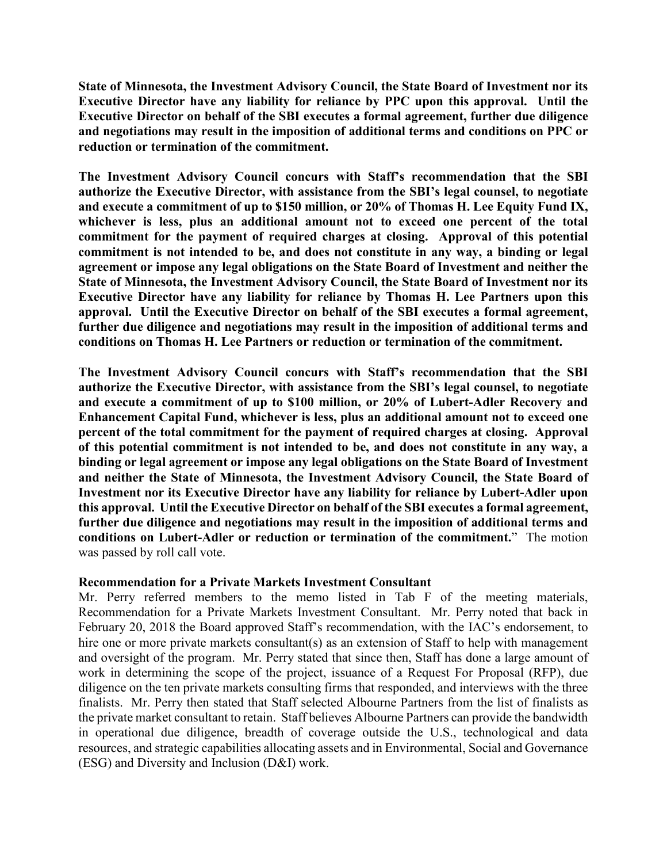**State of Minnesota, the Investment Advisory Council, the State Board of Investment nor its Executive Director have any liability for reliance by PPC upon this approval. Until the Executive Director on behalf of the SBI executes a formal agreement, further due diligence and negotiations may result in the imposition of additional terms and conditions on PPC or reduction or termination of the commitment.**

**The Investment Advisory Council concurs with Staff's recommendation that the SBI authorize the Executive Director, with assistance from the SBI's legal counsel, to negotiate and execute a commitment of up to \$150 million, or 20% of Thomas H. Lee Equity Fund IX, whichever is less, plus an additional amount not to exceed one percent of the total commitment for the payment of required charges at closing. Approval of this potential commitment is not intended to be, and does not constitute in any way, a binding or legal agreement or impose any legal obligations on the State Board of Investment and neither the State of Minnesota, the Investment Advisory Council, the State Board of Investment nor its Executive Director have any liability for reliance by Thomas H. Lee Partners upon this approval. Until the Executive Director on behalf of the SBI executes a formal agreement, further due diligence and negotiations may result in the imposition of additional terms and conditions on Thomas H. Lee Partners or reduction or termination of the commitment.**

**The Investment Advisory Council concurs with Staff's recommendation that the SBI authorize the Executive Director, with assistance from the SBI's legal counsel, to negotiate and execute a commitment of up to \$100 million, or 20% of Lubert-Adler Recovery and Enhancement Capital Fund, whichever is less, plus an additional amount not to exceed one percent of the total commitment for the payment of required charges at closing. Approval of this potential commitment is not intended to be, and does not constitute in any way, a binding or legal agreement or impose any legal obligations on the State Board of Investment and neither the State of Minnesota, the Investment Advisory Council, the State Board of Investment nor its Executive Director have any liability for reliance by Lubert-Adler upon this approval. Until the Executive Director on behalf of the SBI executes a formal agreement, further due diligence and negotiations may result in the imposition of additional terms and conditions on Lubert-Adler or reduction or termination of the commitment.**" The motion was passed by roll call vote.

## **Recommendation for a Private Markets Investment Consultant**

Mr. Perry referred members to the memo listed in Tab F of the meeting materials, Recommendation for a Private Markets Investment Consultant. Mr. Perry noted that back in February 20, 2018 the Board approved Staff's recommendation, with the IAC's endorsement, to hire one or more private markets consultant(s) as an extension of Staff to help with management and oversight of the program. Mr. Perry stated that since then, Staff has done a large amount of work in determining the scope of the project, issuance of a Request For Proposal (RFP), due diligence on the ten private markets consulting firms that responded, and interviews with the three finalists. Mr. Perry then stated that Staff selected Albourne Partners from the list of finalists as the private market consultant to retain. Staff believes Albourne Partners can provide the bandwidth in operational due diligence, breadth of coverage outside the U.S., technological and data resources, and strategic capabilities allocating assets and in Environmental, Social and Governance (ESG) and Diversity and Inclusion (D&I) work.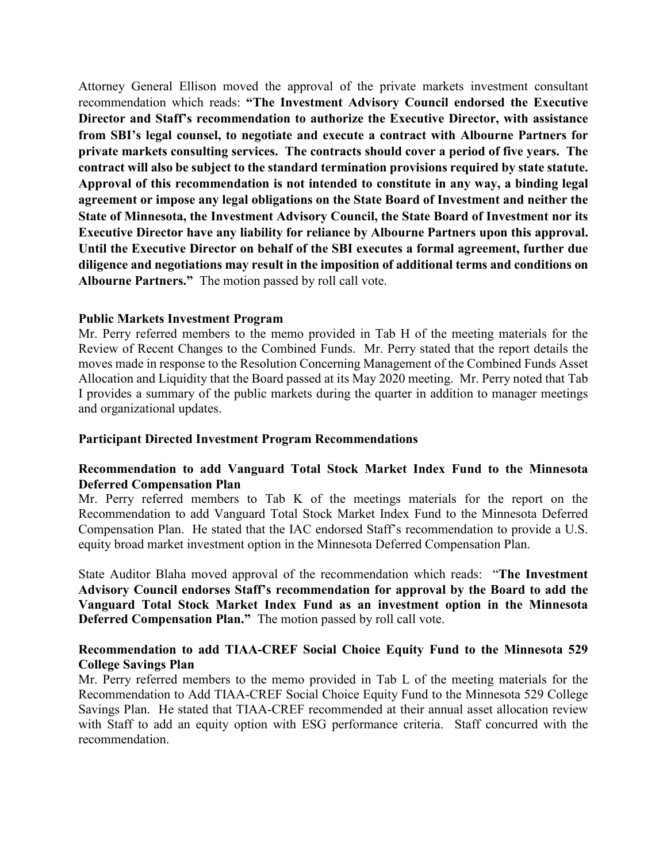Attorney General Ellison moved the approval of the private markets investment consultant recommendation which reads: **"The Investment Advisory Council endorsed the Executive Director and Staff's recommendation to authorize the Executive Director, with assistance from SBI's legal counsel, to negotiate and execute a contract with Albourne Partners for private markets consulting services. The contracts should cover a period of five years. The contract will also be subject to the standard termination provisions required by state statute. Approval of this recommendation is not intended to constitute in any way, a binding legal agreement or impose any legal obligations on the State Board of Investment and neither the State of Minnesota, the Investment Advisory Council, the State Board of Investment nor its Executive Director have any liability for reliance by Albourne Partners upon this approval. Until the Executive Director on behalf of the SBI executes a formal agreement, further due diligence and negotiations may result in the imposition of additional terms and conditions on Albourne Partners."** The motion passed by roll call vote.

## **Public Markets Investment Program**

Mr. Perry referred members to the memo provided in Tab H of the meeting materials for the Review of Recent Changes to the Combined Funds. Mr. Perry stated that the report details the moves made in response to the Resolution Concerning Management of the Combined Funds Asset Allocation and Liquidity that the Board passed at its May 2020 meeting. Mr. Perry noted that Tab I provides a summary of the public markets during the quarter in addition to manager meetings and organizational updates.

## **Participant Directed Investment Program Recommendations**

# **Recommendation to add Vanguard Total Stock Market Index Fund to the Minnesota Deferred Compensation Plan**

Mr. Perry referred members to Tab K of the meetings materials for the report on the Recommendation to add Vanguard Total Stock Market Index Fund to the Minnesota Deferred Compensation Plan. He stated that the IAC endorsed Staff's recommendation to provide a U.S. equity broad market investment option in the Minnesota Deferred Compensation Plan.

State Auditor Blaha moved approval of the recommendation which reads: "**The Investment Advisory Council endorses Staff's recommendation for approval by the Board to add the Vanguard Total Stock Market Index Fund as an investment option in the Minnesota Deferred Compensation Plan."** The motion passed by roll call vote.

# **Recommendation to add TIAA-CREF Social Choice Equity Fund to the Minnesota 529 College Savings Plan**

Mr. Perry referred members to the memo provided in Tab L of the meeting materials for the Recommendation to Add TIAA-CREF Social Choice Equity Fund to the Minnesota 529 College Savings Plan. He stated that TIAA-CREF recommended at their annual asset allocation review with Staff to add an equity option with ESG performance criteria. Staff concurred with the recommendation.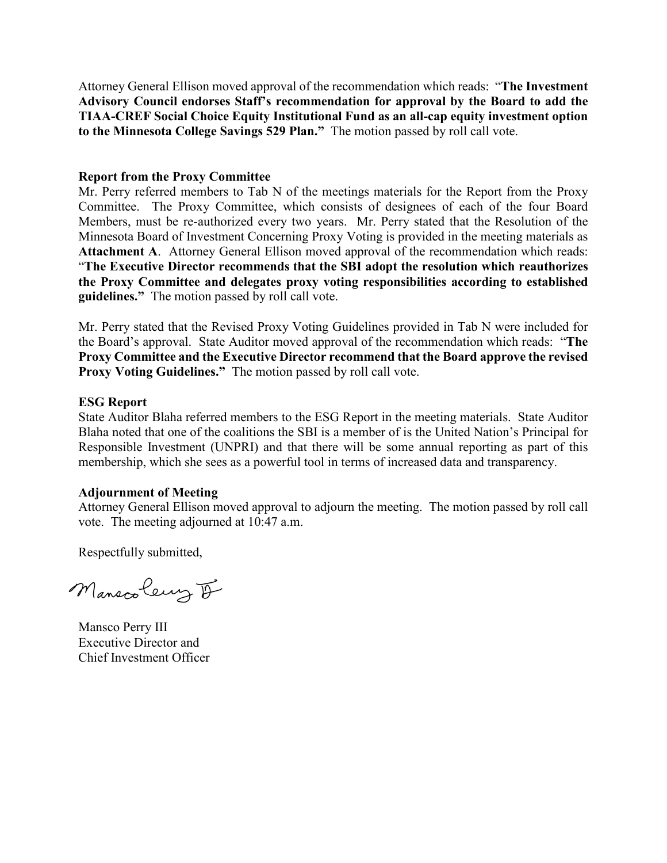Attorney General Ellison moved approval of the recommendation which reads: "**The Investment Advisory Council endorses Staff's recommendation for approval by the Board to add the TIAA-CREF Social Choice Equity Institutional Fund as an all-cap equity investment option to the Minnesota College Savings 529 Plan."** The motion passed by roll call vote.

## **Report from the Proxy Committee**

Mr. Perry referred members to Tab N of the meetings materials for the Report from the Proxy Committee. The Proxy Committee, which consists of designees of each of the four Board Members, must be re-authorized every two years. Mr. Perry stated that the Resolution of the Minnesota Board of Investment Concerning Proxy Voting is provided in the meeting materials as **Attachment A**. Attorney General Ellison moved approval of the recommendation which reads: "**The Executive Director recommends that the SBI adopt the resolution which reauthorizes the Proxy Committee and delegates proxy voting responsibilities according to established guidelines."** The motion passed by roll call vote.

Mr. Perry stated that the Revised Proxy Voting Guidelines provided in Tab N were included for the Board's approval. State Auditor moved approval of the recommendation which reads: "**The Proxy Committee and the Executive Director recommend that the Board approve the revised Proxy Voting Guidelines."** The motion passed by roll call vote.

#### **ESG Report**

State Auditor Blaha referred members to the ESG Report in the meeting materials. State Auditor Blaha noted that one of the coalitions the SBI is a member of is the United Nation's Principal for Responsible Investment (UNPRI) and that there will be some annual reporting as part of this membership, which she sees as a powerful tool in terms of increased data and transparency.

## **Adjournment of Meeting**

Attorney General Ellison moved approval to adjourn the meeting. The motion passed by roll call vote. The meeting adjourned at 10:47 a.m.

Respectfully submitted,

Manscoleury I

Mansco Perry III Executive Director and Chief Investment Officer